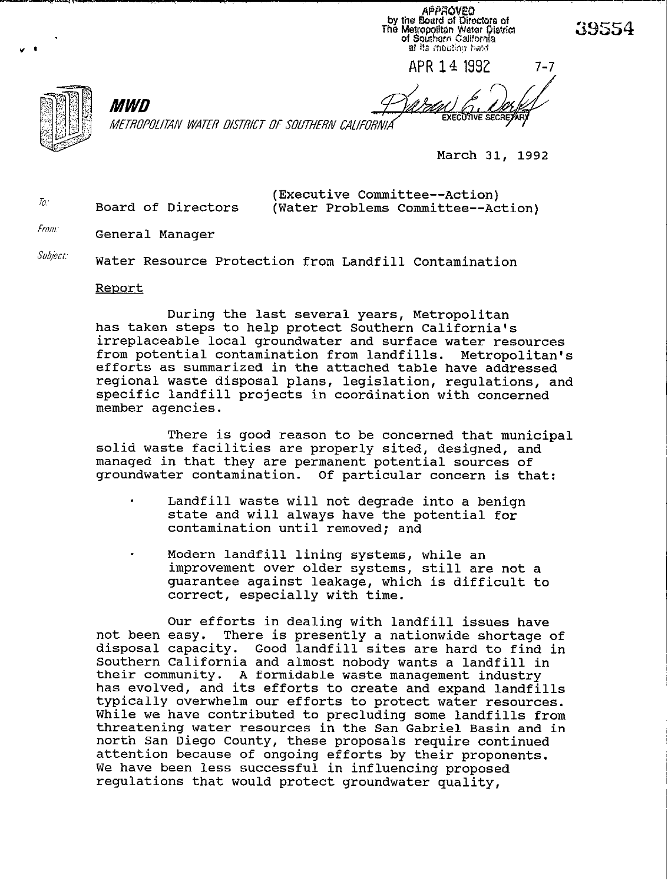APPROVEO by the Board of Directors of<br>The Metropolitan Weter District<br>of Southern California at its mosting hard

APR 14 1992

MWD METROPOLITAN WATER DISTRICT OF SOUTHERN CALIFORNIA

March 31, 1992

(Executive Committee--Action) Board of Directors (Water Problems Committee--Action)

From: General Manager

 $\mathcal{T}_0$ :

*Subject.* Water Resource Protection from Landfill Contamination

## Report

During the last several years, Metropolitan has taken steps to help protect Southern California's irreplaceable local groundwater and surface water resources<br>from potential contamination from landfills. Metropolitan's from potential contamination from landfills. efforts as summarized in the attached table have addressed regional waste disposal plans, legislation, regulations, and specific landfill projects in coordination with concerned member agencies.

There is good reason to be concerned that municipal solid waste facilities are properly sited, designed, and managed in that they are permanent potential sources of groundwater contamination. Of particular concern is that:

- Landfill waste will not degrade into a benign state and will always have the potential for contamination until removed; and
- Modern landfill lining systems, while an improvement over older systems, still are not a guarantee against leakage, which is difficult to correct, especially with time.

Our efforts in dealing with landfill issues have not been easy. There is presently a nationwide shortage of disposal capacity. Good landfill sites are hard to find in Southern California and almost nobody wants a landfill in their community. A formidable waste management industry has evolved, and its efforts to create and expand landfills typically overwhelm our efforts to protect water resources. While we have contributed to precluding some landfills from threatening water resources in the San Gabriel Basin and in north San Diego County, these proposals require continued attention because of ongoing efforts by their proponents. We have been less successful in influencing proposed regulations that would protect groundwater quality,

39554

 $7 - 7$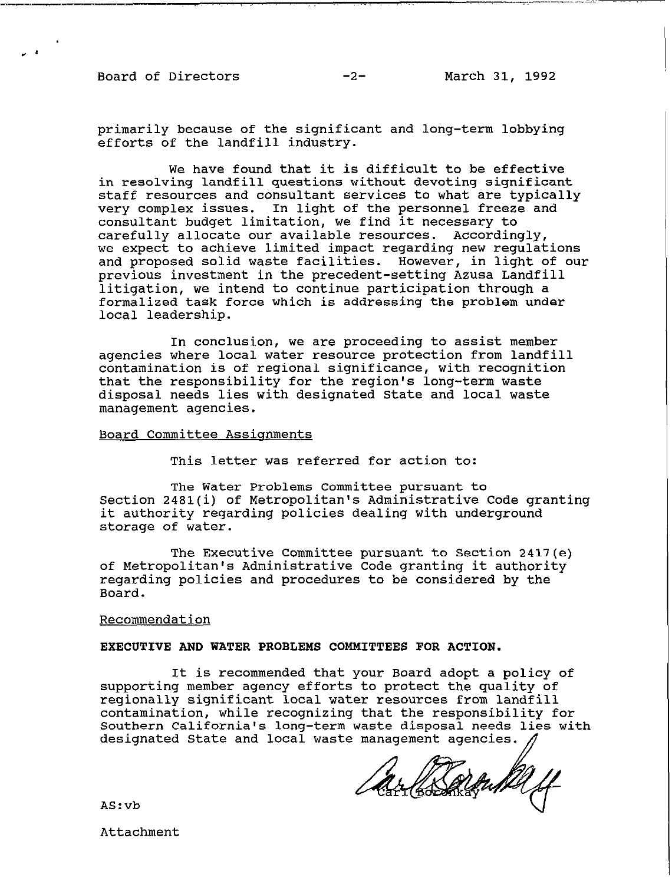**Board of Directors -2- March 31, 1992** 

**primarily because of the significant and long-term lobbying efforts of the landfill industry.** 

**We have found that it is difficult to be effective in resolving landfill questions without devoting significant staff resources and consultant services to what are typically very complex issues. In light of the personnel freeze and consultant budget limitation, we find it necessary to carefully allocate our available resources. Accordingly, we expect to achieve limited impact regarding new regulations and proposed solid waste facilities. However, in light of our previous investment in the precedent-setting Azusa Landfill litigation, we intend to continue participation through a formalized task force which is addressing the problem under local leadership.** 

**In conclusion, we are proceeding to assist member agencies where local water resource protection from landfill contamination is of regional significance, with recognition that the responsibility for the region's long-term waste disposal needs lies with designated State and local waste management agencies.** 

# **Board Committee Assianments**

**This letter was referred for action to:** 

**The Water Problems Committee pursuant to Section 2481(i) of Metropolitan's Administrative Code granting it authority regarding policies dealing with underground storage of water.** 

**The Executive Committee pursuant to Section 2417(e) of Metropolitan's Administrative Code granting it authority regarding policies and procedures to be considered by the Board.** 

#### **Recommendation**

## **EXECUTIVE AND WATER PROBLEMS COMMITTEES FOR ACTION.**

**It is recommended that your Board adopt a policy of supporting member agency efforts to protect the quality of regionally significant local water resources from landfill contamination, while recognizing that the responsibility for Southern California's long-term waste disposal needs lies with designated State and local waste management agencies** 

arlesamba y

**AS:vb** 

**Attachment**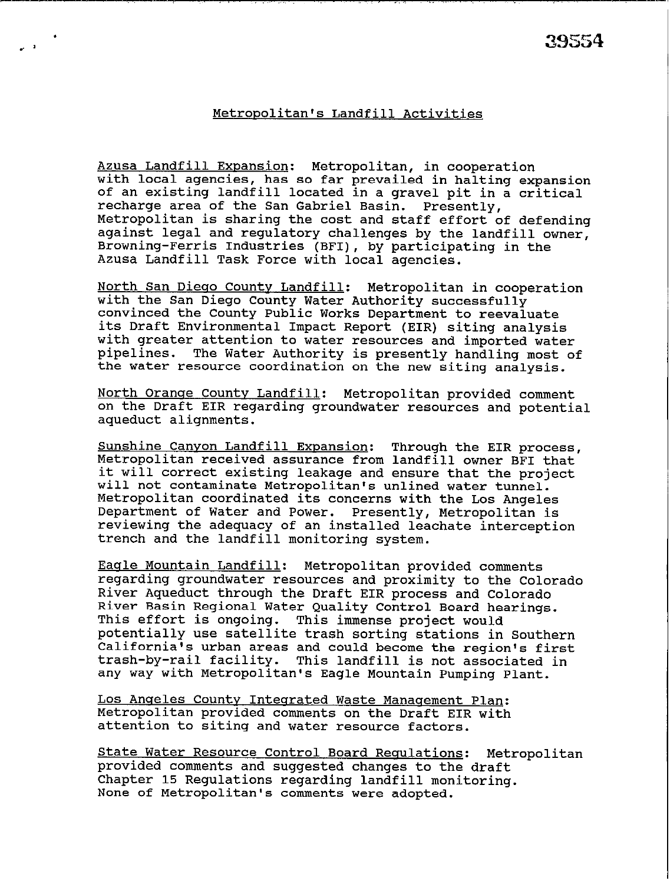# Metropolitan's Landfill Activities

Azusa Landfill Expansion: Metropolitan, in cooperation with local agencies, has so far prevailed in halting expansion of an existing landfill located in a gravel pit in a critical recharge area of the San Gabriel Basin. Presently, Metropolitan is sharing the cost and staff effort of defending against legal and regulatory challenges by the landfill owner, Browning-Ferris Industries (BFI), by participating in the Azusa Landfill Task Force with local agencies.

North San Diego County Landfill: Metropolitan in cooperation with the San Diego County Water Authority successfully convinced the County Public Works Department to reevaluate its Draft Environmental Impact Report (EIR) siting analysis with greater attention to water resources and imported water pipelines. The Water Authority is presently handling most of the water resource coordination on the new siting analysis.

North Orange County Landfill: Metropolitan provided comment on the Draft EIR regarding groundwater resources and potential aqueduct alignments.

Sunshine Canvon Landfill Expansion: Through the EIR process, Metropolitan received assurance from landfill owner BFI that it will correct existing leakage and ensure that the project will not contaminate Metropolitan's unlined water tunnel. Metropolitan coordinated its concerns with the Los Angeles Department of Water and Power. Presently, Metropolitan is reviewing the adequacy of an installed leachate interception trench and the landfill monitoring system.

Eagle Mountain Landfill: Metropolitan provided comments regarding groundwater resources and proximity to the Colorado River Aqueduct through the Draft EIR process and Colorado River Basin Regional Water Quality Control Board hearings. This effort is ongoing. This immense project would potentially use satellite trash sorting stations in Southern California's urban areas and could become the region's first trash-by-rail facility. This landfill is not associated in any way with Metropolitan's Eagle Mountain Pumping Plant.

Los Angeles County Integrated Waste Management Plan: Metropolitan provided comments on the Draft EIR with attention to siting and water resource factors.

State Water Resource Control Board Requlations: Metropolitan provided comments and suggested changes to the draft Chapter 15 Regulations regarding landfill monitoring. None of Metropolitan's comments were adopted.